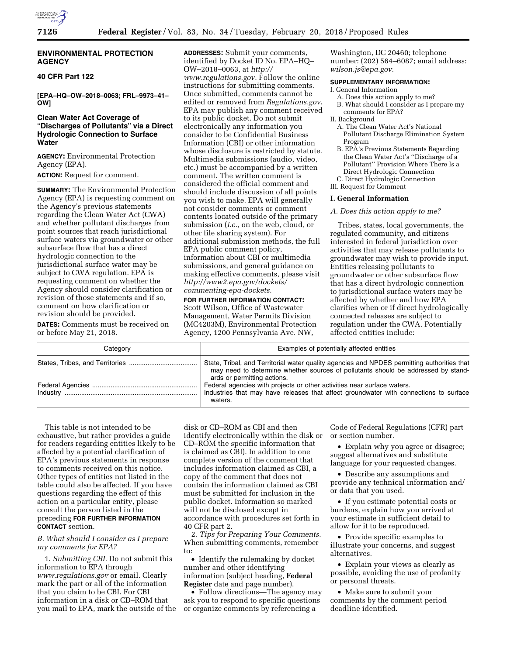# **ENVIRONMENTAL PROTECTION AGENCY**

# **40 CFR Part 122**

**[EPA–HQ–OW–2018–0063; FRL–9973–41– OW]** 

# **Clean Water Act Coverage of**  ''**Discharges of Pollutants**'' **via a Direct Hydrologic Connection to Surface Water**

**AGENCY:** Environmental Protection Agency (EPA).

**ACTION:** Request for comment.

**SUMMARY:** The Environmental Protection Agency (EPA) is requesting comment on the Agency's previous statements regarding the Clean Water Act (CWA) and whether pollutant discharges from point sources that reach jurisdictional surface waters via groundwater or other subsurface flow that has a direct hydrologic connection to the jurisdictional surface water may be subject to CWA regulation. EPA is requesting comment on whether the Agency should consider clarification or revision of those statements and if so, comment on how clarification or revision should be provided.

**DATES:** Comments must be received on or before May 21, 2018.

**ADDRESSES:** Submit your comments, identified by Docket ID No. EPA–HQ– OW–2018–0063, at *[http://](http://www.regulations.gov) [www.regulations.gov.](http://www.regulations.gov)* Follow the online instructions for submitting comments. Once submitted, comments cannot be edited or removed from *Regulations.gov*. EPA may publish any comment received to its public docket. Do not submit electronically any information you consider to be Confidential Business Information (CBI) or other information whose disclosure is restricted by statute. Multimedia submissions (audio, video, etc.) must be accompanied by a written comment. The written comment is considered the official comment and should include discussion of all points you wish to make. EPA will generally not consider comments or comment contents located outside of the primary submission (*i.e.,* on the web, cloud, or other file sharing system). For additional submission methods, the full EPA public comment policy, information about CBI or multimedia submissions, and general guidance on making effective comments, please visit *[http://www2.epa.gov/dockets/](http://www2.epa.gov/dockets/commenting-epa-dockets)  [commenting-epa-dockets.](http://www2.epa.gov/dockets/commenting-epa-dockets)* 

**FOR FURTHER INFORMATION CONTACT:**  Scott Wilson, Office of Wastewater Management, Water Permits Division (MC4203M), Environmental Protection Agency, 1200 Pennsylvania Ave. NW,

Washington, DC 20460; telephone number: (202) 564–6087; email address: *[wilson.js@epa.gov](mailto:wilson.js@epa.gov)*.

# **SUPPLEMENTARY INFORMATION:**

- I. General Information
	- A. Does this action apply to me?
	- B. What should I consider as I prepare my comments for EPA?
- II. Background
	- A. The Clean Water Act's National Pollutant Discharge Elimination System Program
- B. EPA's Previous Statements Regarding the Clean Water Act's ''Discharge of a Pollutant'' Provision Where There Is a Direct Hydrologic Connection C. Direct Hydrologic Connection

III. Request for Comment

#### **I. General Information**

### *A. Does this action apply to me?*

Tribes, states, local governments, the regulated community, and citizens interested in federal jurisdiction over activities that may release pollutants to groundwater may wish to provide input. Entities releasing pollutants to groundwater or other subsurface flow that has a direct hydrologic connection to jurisdictional surface waters may be affected by whether and how EPA clarifies when or if direct hydrologically connected releases are subject to regulation under the CWA. Potentially affected entities include:

| Category | Examples of potentially affected entities                                                                                                                                                                       |
|----------|-----------------------------------------------------------------------------------------------------------------------------------------------------------------------------------------------------------------|
|          | State, Tribal, and Territorial water quality agencies and NPDES permitting authorities that<br>may need to determine whether sources of pollutants should be addressed by stand-<br>ards or permitting actions. |
|          | Federal agencies with projects or other activities near surface waters.<br>Industries that may have releases that affect groundwater with connections to surface<br>waters.                                     |

This table is not intended to be exhaustive, but rather provides a guide for readers regarding entities likely to be affected by a potential clarification of EPA's previous statements in response to comments received on this notice. Other types of entities not listed in the table could also be affected. If you have questions regarding the effect of this action on a particular entity, please consult the person listed in the preceding **FOR FURTHER INFORMATION CONTACT** section.

### *B. What should I consider as I prepare my comments for EPA?*

1. *Submitting CBI.* Do not submit this information to EPA through *[www.regulations.gov](http://www.regulations.gov)* or email. Clearly mark the part or all of the information that you claim to be CBI. For CBI information in a disk or CD–ROM that you mail to EPA, mark the outside of the

disk or CD–ROM as CBI and then identify electronically within the disk or CD–ROM the specific information that is claimed as CBI). In addition to one complete version of the comment that includes information claimed as CBI, a copy of the comment that does not contain the information claimed as CBI must be submitted for inclusion in the public docket. Information so marked will not be disclosed except in accordance with procedures set forth in 40 CFR part 2.

2. *Tips for Preparing Your Comments.*  When submitting comments, remember to:

• Identify the rulemaking by docket number and other identifying information (subject heading, **Federal Register** date and page number).

• Follow directions—The agency may ask you to respond to specific questions or organize comments by referencing a

Code of Federal Regulations (CFR) part or section number.

• Explain why you agree or disagree; suggest alternatives and substitute language for your requested changes.

• Describe any assumptions and provide any technical information and/ or data that you used.

• If you estimate potential costs or burdens, explain how you arrived at your estimate in sufficient detail to allow for it to be reproduced.

• Provide specific examples to illustrate your concerns, and suggest alternatives.

• Explain your views as clearly as possible, avoiding the use of profanity or personal threats.

• Make sure to submit your comments by the comment period deadline identified.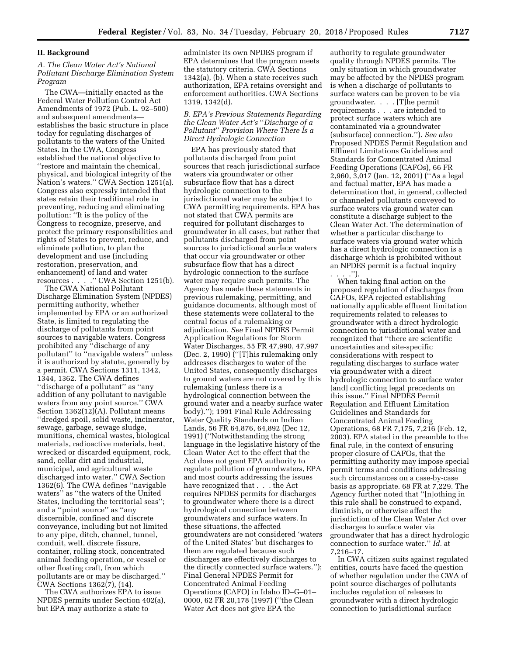### **II. Background**

# *A. The Clean Water Act's National Pollutant Discharge Elimination System Program*

The CWA—initially enacted as the Federal Water Pollution Control Act Amendments of 1972 (Pub. L. 92–500) and subsequent amendments establishes the basic structure in place today for regulating discharges of pollutants to the waters of the United States. In the CWA, Congress established the national objective to ''restore and maintain the chemical, physical, and biological integrity of the Nation's waters.'' CWA Section 1251(a). Congress also expressly intended that states retain their traditional role in preventing, reducing and eliminating pollution: ''It is the policy of the Congress to recognize, preserve, and protect the primary responsibilities and rights of States to prevent, reduce, and eliminate pollution, to plan the development and use (including restoration, preservation, and enhancement) of land and water resources . . . . " CWA Section 1251(b).

The CWA National Pollutant Discharge Elimination System (NPDES) permitting authority, whether implemented by EPA or an authorized State, is limited to regulating the discharge of pollutants from point sources to navigable waters. Congress prohibited any ''discharge of any pollutant'' to ''navigable waters'' unless it is authorized by statute, generally by a permit. CWA Sections 1311, 1342, 1344, 1362. The CWA defines ''discharge of a pollutant'' as ''any addition of any pollutant to navigable waters from any point source.'' CWA Section 1362(12)(A). Pollutant means ''dredged spoil, solid waste, incinerator, sewage, garbage, sewage sludge, munitions, chemical wastes, biological materials, radioactive materials, heat, wrecked or discarded equipment, rock, sand, cellar dirt and industrial, municipal, and agricultural waste discharged into water.'' CWA Section 1362(6). The CWA defines ''navigable waters'' as ''the waters of the United States, including the territorial seas''; and a ''point source'' as ''any discernible, confined and discrete conveyance, including but not limited to any pipe, ditch, channel, tunnel, conduit, well, discrete fissure, container, rolling stock, concentrated animal feeding operation, or vessel or other floating craft, from which pollutants are or may be discharged.'' CWA Sections 1362(7), (14).

The CWA authorizes EPA to issue NPDES permits under Section 402(a), but EPA may authorize a state to

administer its own NPDES program if EPA determines that the program meets the statutory criteria. CWA Sections 1342(a), (b). When a state receives such authorization, EPA retains oversight and enforcement authorities. CWA Sections 1319, 1342(d).

*B. EPA's Previous Statements Regarding the Clean Water Act's* ''*Discharge of a Pollutant*'' *Provision Where There Is a Direct Hydrologic Connection* 

EPA has previously stated that pollutants discharged from point sources that reach jurisdictional surface waters via groundwater or other subsurface flow that has a direct hydrologic connection to the jurisdictional water may be subject to CWA permitting requirements. EPA has not stated that CWA permits are required for pollutant discharges to groundwater in all cases, but rather that pollutants discharged from point sources to jurisdictional surface waters that occur via groundwater or other subsurface flow that has a direct hydrologic connection to the surface water may require such permits. The Agency has made these statements in previous rulemaking, permitting, and guidance documents, although most of these statements were collateral to the central focus of a rulemaking or adjudication. *See* Final NPDES Permit Application Regulations for Storm Water Discharges, 55 FR 47,990, 47,997 (Dec. 2, 1990) (''[T]his rulemaking only addresses discharges to water of the United States, consequently discharges to ground waters are not covered by this rulemaking (unless there is a hydrological connection between the ground water and a nearby surface water body).''); 1991 Final Rule Addressing Water Quality Standards on Indian Lands, 56 FR 64,876, 64,892 (Dec 12, 1991) (''Notwithstanding the strong language in the legislative history of the Clean Water Act to the effect that the Act does not grant EPA authority to regulate pollution of groundwaters, EPA and most courts addressing the issues have recognized that . . . the Act requires NPDES permits for discharges to groundwater where there is a direct hydrological connection between groundwaters and surface waters. In these situations, the affected groundwaters are not considered 'waters of the United States' but discharges to them are regulated because such discharges are effectively discharges to the directly connected surface waters.''); Final General NPDES Permit for Concentrated Animal Feeding Operations (CAFO) in Idaho ID–G–01– 0000, 62 FR 20,178 (1997) (''the Clean Water Act does not give EPA the

authority to regulate groundwater quality through NPDES permits. The only situation in which groundwater may be affected by the NPDES program is when a discharge of pollutants to surface waters can be proven to be via groundwater. . . . [T]he permit requirements . . . are intended to protect surface waters which are contaminated via a groundwater (subsurface) connection.''). *See also*  Proposed NPDES Permit Regulation and Effluent Limitations Guidelines and Standards for Concentrated Animal Feeding Operations (CAFOs), 66 FR 2,960, 3,017 (Jan. 12, 2001) (''As a legal and factual matter, EPA has made a determination that, in general, collected or channeled pollutants conveyed to surface waters via ground water can constitute a discharge subject to the Clean Water Act. The determination of whether a particular discharge to surface waters via ground water which has a direct hydrologic connection is a discharge which is prohibited without an NPDES permit is a factual inquiry

. . . .''). When taking final action on the proposed regulation of discharges from CAFOs, EPA rejected establishing nationally applicable effluent limitation requirements related to releases to groundwater with a direct hydrologic connection to jurisdictional water and recognized that ''there are scientific uncertainties and site-specific considerations with respect to regulating discharges to surface water via groundwater with a direct hydrologic connection to surface water [and] conflicting legal precedents on this issue.'' Final NPDES Permit Regulation and Effluent Limitation Guidelines and Standards for Concentrated Animal Feeding Operations, 68 FR 7,175, 7,216 (Feb. 12, 2003). EPA stated in the preamble to the final rule, in the context of ensuring proper closure of CAFOs, that the permitting authority may impose special permit terms and conditions addressing such circumstances on a case-by-case basis as appropriate. 68 FR at 7,229. The Agency further noted that ''[n]othing in this rule shall be construed to expand, diminish, or otherwise affect the jurisdiction of the Clean Water Act over discharges to surface water via groundwater that has a direct hydrologic connection to surface water.'' *Id.* at 7,216–17.

In CWA citizen suits against regulated entities, courts have faced the question of whether regulation under the CWA of point source discharges of pollutants includes regulation of releases to groundwater with a direct hydrologic connection to jurisdictional surface